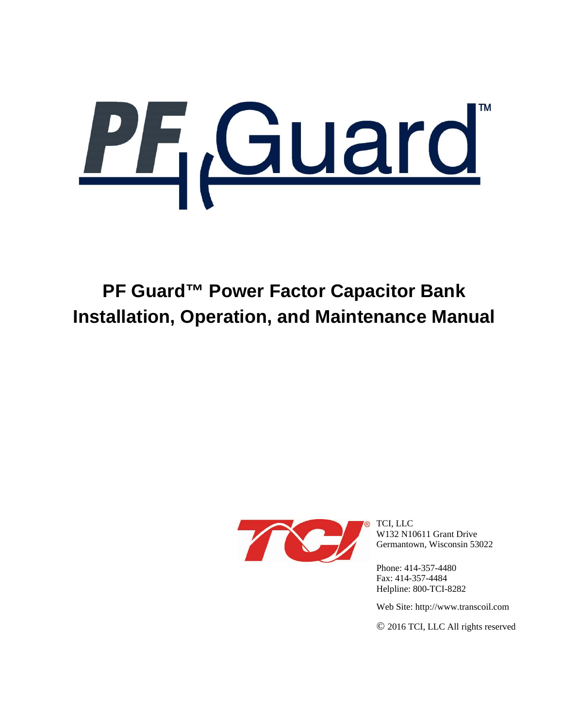

# **PF Guard™ Power Factor Capacitor Bank Installation, Operation, and Maintenance Manual**



TCI, LLC W132 N10611 Grant Drive Germantown, Wisconsin 53022

Phone: 414-357-4480 Fax: 414-357-4484 Helpline: 800-TCI-8282

Web Site: http://www.transcoil.com

© 2016 TCI, LLC All rights reserved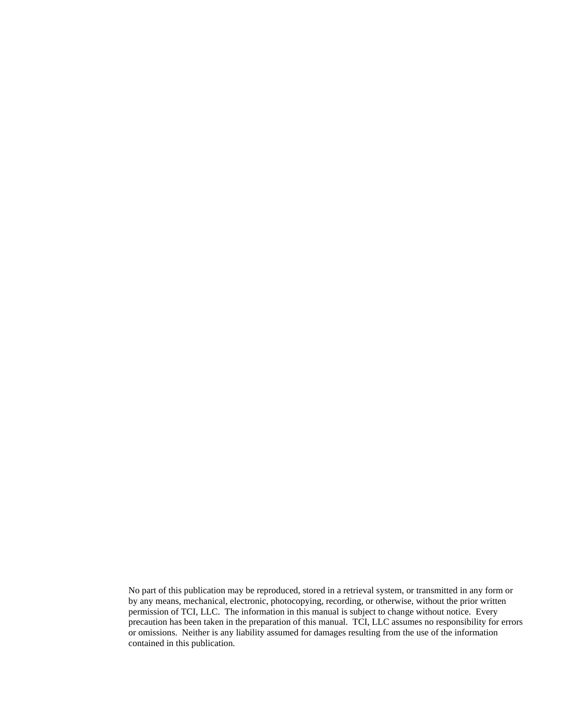No part of this publication may be reproduced, stored in a retrieval system, or transmitted in any form or by any means, mechanical, electronic, photocopying, recording, or otherwise, without the prior written permission of TCI, LLC. The information in this manual is subject to change without notice. Every precaution has been taken in the preparation of this manual. TCI, LLC assumes no responsibility for errors or omissions. Neither is any liability assumed for damages resulting from the use of the information contained in this publication.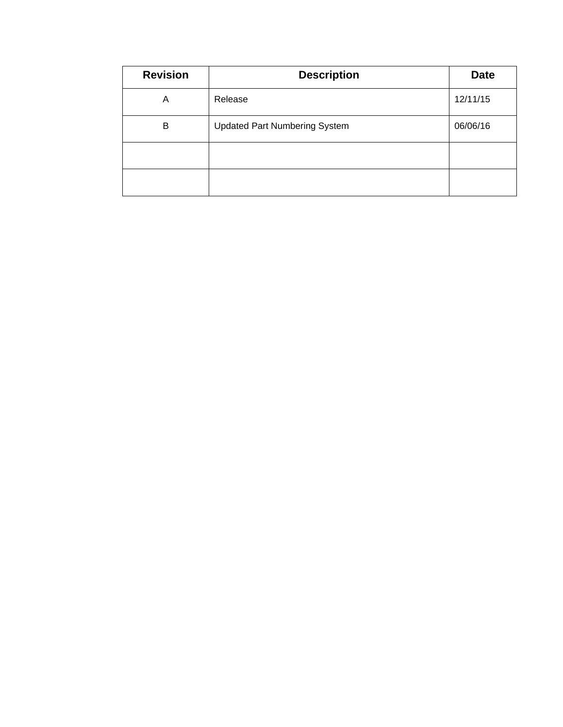| <b>Revision</b> | <b>Description</b>                   | <b>Date</b> |
|-----------------|--------------------------------------|-------------|
| A               | Release                              | 12/11/15    |
| B               | <b>Updated Part Numbering System</b> | 06/06/16    |
|                 |                                      |             |
|                 |                                      |             |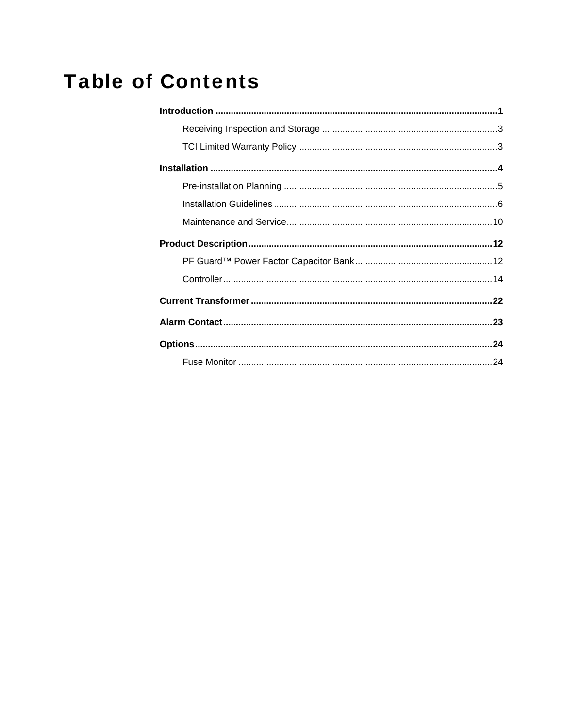# **Table of Contents**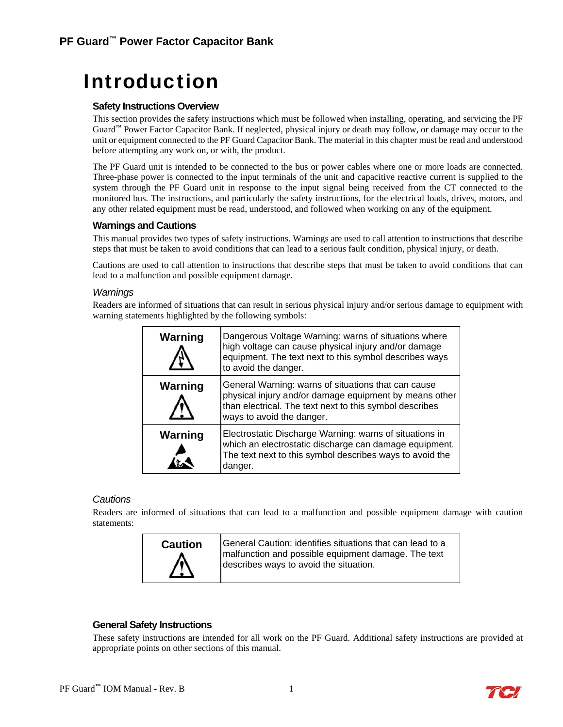# Introduction

#### **2.1.1 Safety Instructions Overview**

This section provides the safety instructions which must be followed when installing, operating, and servicing the PF Guard™ Power Factor Capacitor Bank. If neglected, physical injury or death may follow, or damage may occur to the unit or equipment connected to the PF Guard Capacitor Bank. The material in this chapter must be read and understood before attempting any work on, or with, the product.

The PF Guard unit is intended to be connected to the bus or power cables where one or more loads are connected. Three-phase power is connected to the input terminals of the unit and capacitive reactive current is supplied to the system through the PF Guard unit in response to the input signal being received from the CT connected to the monitored bus. The instructions, and particularly the safety instructions, for the electrical loads, drives, motors, and any other related equipment must be read, understood, and followed when working on any of the equipment.

#### **2.1.2 Warnings and Cautions**

This manual provides two types of safety instructions. Warnings are used to call attention to instructions that describe steps that must be taken to avoid conditions that can lead to a serious fault condition, physical injury, or death.

Cautions are used to call attention to instructions that describe steps that must be taken to avoid conditions that can lead to a malfunction and possible equipment damage.

#### *Warnings*

Readers are informed of situations that can result in serious physical injury and/or serious damage to equipment with warning statements highlighted by the following symbols:

| Warning | Dangerous Voltage Warning: warns of situations where<br>high voltage can cause physical injury and/or damage<br>equipment. The text next to this symbol describes ways<br>to avoid the danger.        |
|---------|-------------------------------------------------------------------------------------------------------------------------------------------------------------------------------------------------------|
| Warning | General Warning: warns of situations that can cause<br>physical injury and/or damage equipment by means other<br>than electrical. The text next to this symbol describes<br>ways to avoid the danger. |
| Warning | Electrostatic Discharge Warning: warns of situations in<br>which an electrostatic discharge can damage equipment.<br>The text next to this symbol describes ways to avoid the<br>danger.              |

#### *Cautions*

Readers are informed of situations that can lead to a malfunction and possible equipment damage with caution statements:



#### **2.1.3 General Safety Instructions**

These safety instructions are intended for all work on the PF Guard. Additional safety instructions are provided at appropriate points on other sections of this manual.

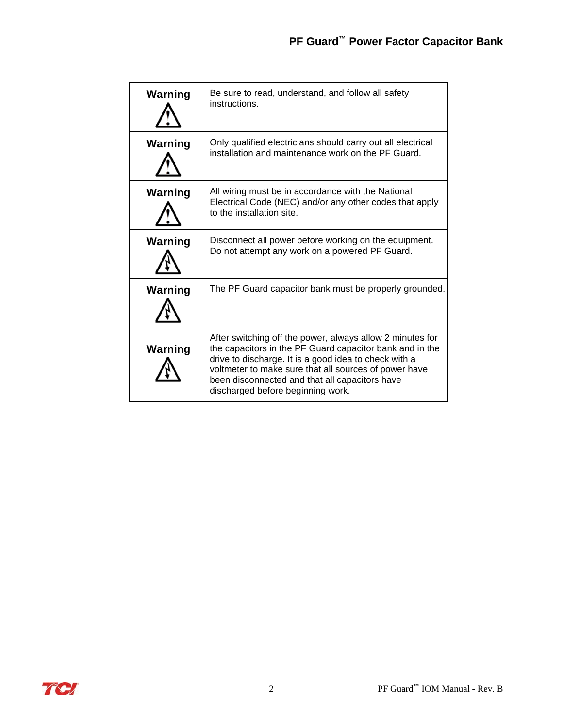| Warning        | Be sure to read, understand, and follow all safety<br>instructions.                                                                                                                                                                                                                                                            |
|----------------|--------------------------------------------------------------------------------------------------------------------------------------------------------------------------------------------------------------------------------------------------------------------------------------------------------------------------------|
| Warning        | Only qualified electricians should carry out all electrical<br>installation and maintenance work on the PF Guard.                                                                                                                                                                                                              |
| <b>Warning</b> | All wiring must be in accordance with the National<br>Electrical Code (NEC) and/or any other codes that apply<br>to the installation site.                                                                                                                                                                                     |
| <b>Warning</b> | Disconnect all power before working on the equipment.<br>Do not attempt any work on a powered PF Guard.                                                                                                                                                                                                                        |
| Warning        | The PF Guard capacitor bank must be properly grounded.                                                                                                                                                                                                                                                                         |
| Warning        | After switching off the power, always allow 2 minutes for<br>the capacitors in the PF Guard capacitor bank and in the<br>drive to discharge. It is a good idea to check with a<br>voltmeter to make sure that all sources of power have<br>been disconnected and that all capacitors have<br>discharged before beginning work. |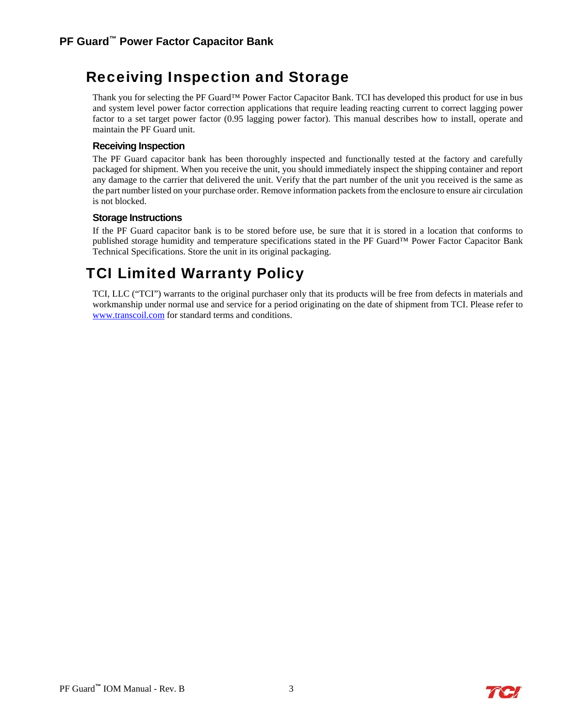## **Receiving Inspection and Storage**

Thank you for selecting the PF Guard™ Power Factor Capacitor Bank. TCI has developed this product for use in bus and system level power factor correction applications that require leading reacting current to correct lagging power factor to a set target power factor (0.95 lagging power factor). This manual describes how to install, operate and maintain the PF Guard unit.

#### **2.2.1 Receiving Inspection**

The PF Guard capacitor bank has been thoroughly inspected and functionally tested at the factory and carefully packaged for shipment. When you receive the unit, you should immediately inspect the shipping container and report any damage to the carrier that delivered the unit. Verify that the part number of the unit you received is the same as the part number listed on your purchase order. Remove information packets from the enclosure to ensure air circulation is not blocked.

#### **2.2.2 Storage Instructions**

If the PF Guard capacitor bank is to be stored before use, be sure that it is stored in a location that conforms to published storage humidity and temperature specifications stated in the PF Guard™ Power Factor Capacitor Bank Technical Specifications. Store the unit in its original packaging.

# **TCI Limited Warranty Policy**

TCI, LLC ("TCI") warrants to the original purchaser only that its products will be free from defects in materials and workmanship under normal use and service for a period originating on the date of shipment from TCI. Please refer to www.transcoil.com for standard terms and conditions.

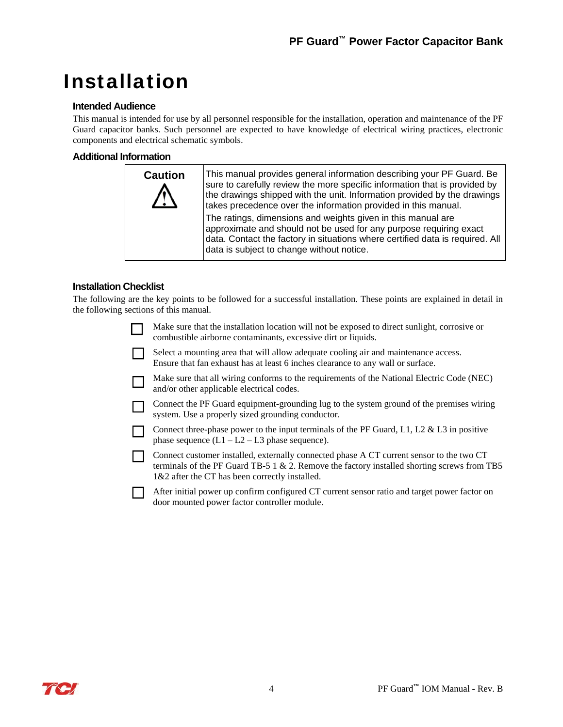# Installation

#### **Intended Audience**

This manual is intended for use by all personnel responsible for the installation, operation and maintenance of the PF Guard capacitor banks. Such personnel are expected to have knowledge of electrical wiring practices, electronic components and electrical schematic symbols.

#### **1.1.2 Additional Information**

| <b>Caution</b><br>$\bigwedge$ | This manual provides general information describing your PF Guard. Be<br>sure to carefully review the more specific information that is provided by<br>the drawings shipped with the unit. Information provided by the drawings<br>takes precedence over the information provided in this manual. |  |  |
|-------------------------------|---------------------------------------------------------------------------------------------------------------------------------------------------------------------------------------------------------------------------------------------------------------------------------------------------|--|--|
|                               | The ratings, dimensions and weights given in this manual are<br>approximate and should not be used for any purpose requiring exact<br>data. Contact the factory in situations where certified data is required. All<br>data is subject to change without notice.                                  |  |  |

#### **Installation Checklist**

The following are the key points to be followed for a successful installation. These points are explained in detail in the following sections of this manual.

| Make sure that the installation location will not be exposed to direct sunlight, corrosive or<br>combustible airborne contaminants, excessive dirt or liquids.         |
|------------------------------------------------------------------------------------------------------------------------------------------------------------------------|
| Select a mounting area that will allow adequate cooling air and maintenance access.<br>Ensure that fan exhaust has at least 6 inches clearance to any wall or surface. |
| Make sure that all wiring conforms to the requirements of the National Electric Code (NEC)<br>and/or other applicable electrical codes.                                |
| Connect the PF Guard equipment-grounding lug to the system ground of the premises wiring<br>system. Use a properly sized grounding conductor.                          |

Connect three-phase power to the input terminals of the PF Guard, L1, L2 & L3 in positive phase sequence  $(L1 - L2 - L3)$  phase sequence).

Connect customer installed, externally connected phase A CT current sensor to the two CT terminals of the PF Guard TB-5 1  $\&$  2. Remove the factory installed shorting screws from TB5 1&2 after the CT has been correctly installed.

After initial power up confirm configured CT current sensor ratio and target power factor on door mounted power factor controller module.

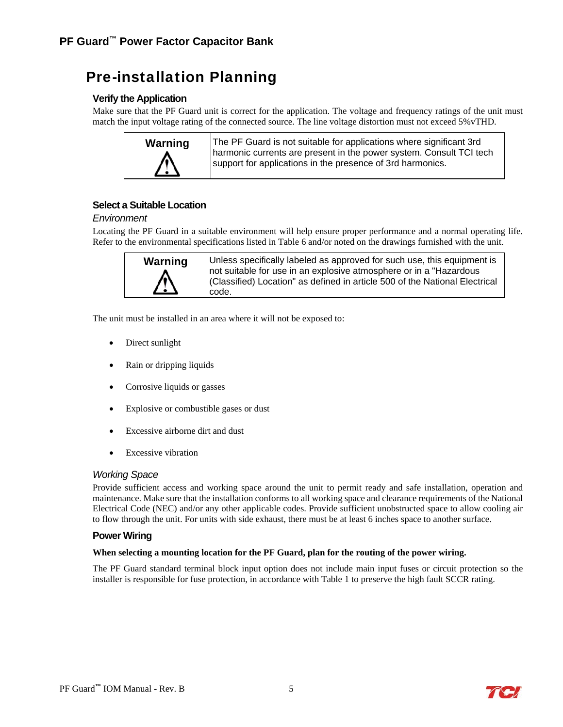# **Pre-installation Planning**

#### **1.2.1 Verify the Application**

Make sure that the PF Guard unit is correct for the application. The voltage and frequency ratings of the unit must match the input voltage rating of the connected source. The line voltage distortion must not exceed 5%vTHD.

| The PF Guard is not suitable for applications where significant 3rd<br>harmonic currents are present in the power system. Consult TCI tech<br>support for applications in the presence of 3rd harmonics. |
|----------------------------------------------------------------------------------------------------------------------------------------------------------------------------------------------------------|
|                                                                                                                                                                                                          |

#### **Select a Suitable Location**

#### *Environment*

Locating the PF Guard in a suitable environment will help ensure proper performance and a normal operating life. Refer to the environmental specifications listed in Table 6 and/or noted on the drawings furnished with the unit.

| Warning          | Unless specifically labeled as approved for such use, this equipment is                                                                                     |
|------------------|-------------------------------------------------------------------------------------------------------------------------------------------------------------|
| $\bigtriangleup$ | not suitable for use in an explosive atmosphere or in a "Hazardous"<br>(Classified) Location" as defined in article 500 of the National Electrical<br>code. |

The unit must be installed in an area where it will not be exposed to:

- Direct sunlight
- Rain or dripping liquids
- Corrosive liquids or gasses
- Explosive or combustible gases or dust
- Excessive airborne dirt and dust
- Excessive vibration

#### *Working Space*

Provide sufficient access and working space around the unit to permit ready and safe installation, operation and maintenance. Make sure that the installation conforms to all working space and clearance requirements of the National Electrical Code (NEC) and/or any other applicable codes. Provide sufficient unobstructed space to allow cooling air to flow through the unit. For units with side exhaust, there must be at least 6 inches space to another surface.

#### **1.2.3 Power Wiring**

#### **When selecting a mounting location for the PF Guard, plan for the routing of the power wiring.**

The PF Guard standard terminal block input option does not include main input fuses or circuit protection so the installer is responsible for fuse protection, in accordance with Table 1 to preserve the high fault SCCR rating.

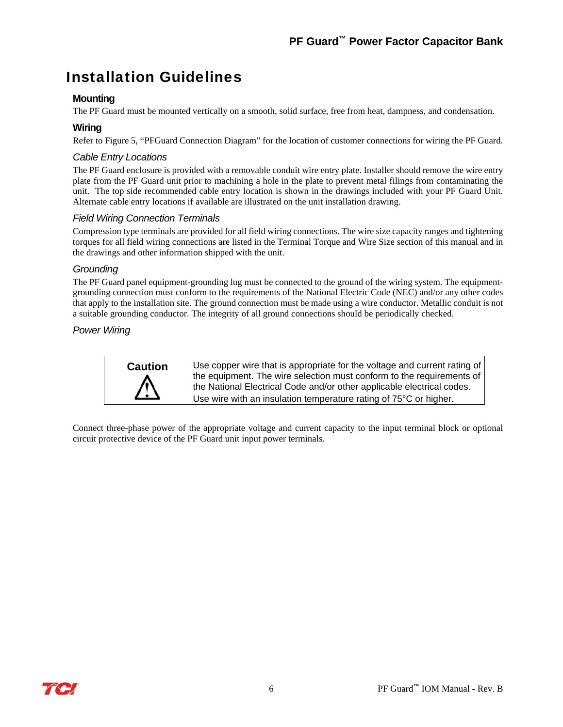# **Installation Guidelines**

#### **1.3.1 Mounting**

The PF Guard must be mounted vertically on a smooth, solid surface, free from heat, dampness, and condensation.

#### **1.3.2 Wiring**

Refer to Figure 5, "PFGuard Connection Diagram" for the location of customer connections for wiring the PF Guard.

#### *Cable Entry Locations*

The PF Guard enclosure is provided with a removable conduit wire entry plate. Installer should remove the wire entry plate from the PF Guard unit prior to machining a hole in the plate to prevent metal filings from contaminating the unit. The top side recommended cable entry location is shown in the drawings included with your PF Guard Unit. Alternate cable entry locations if available are illustrated on the unit installation drawing.

#### *Field Wiring Connection Terminals*

Compression type terminals are provided for all field wiring connections. The wire size capacity ranges and tightening torques for all field wiring connections are listed in the Terminal Torque and Wire Size section of this manual and in the drawings and other information shipped with the unit.

#### *Grounding*

The PF Guard panel equipment-grounding lug must be connected to the ground of the wiring system. The equipmentgrounding connection must conform to the requirements of the National Electric Code (NEC) and/or any other codes that apply to the installation site. The ground connection must be made using a wire conductor. Metallic conduit is not a suitable grounding conductor. The integrity of all ground connections should be periodically checked.

#### *Power Wiring*



Connect three-phase power of the appropriate voltage and current capacity to the input terminal block or optional circuit protective device of the PF Guard unit input power terminals.

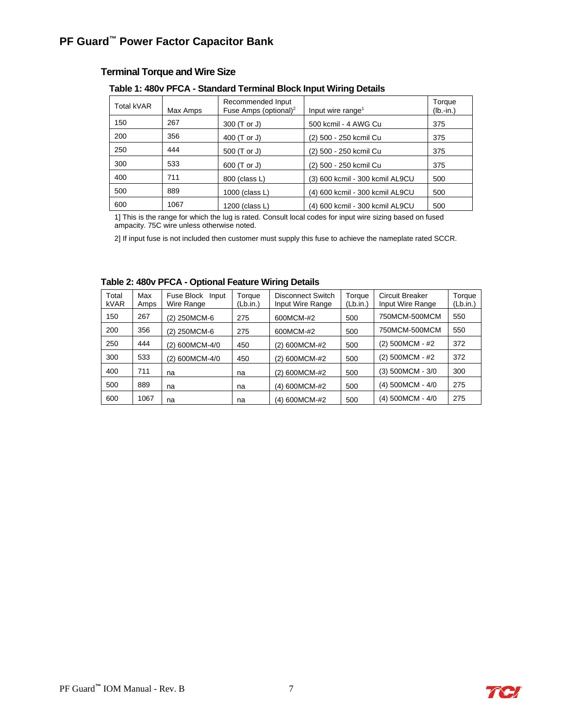#### Total kVAR Max Amps Recommended Input Fuse Amps (optional)<sup>2</sup> | Input wire range<sup>1</sup> Torque (lb.-in.) 150 267 300 (T or J) 500 kcmil - 4 AWG Cu 375 200 | 356 | 400 (T or J) | (2) 500 - 250 kcmil Cu | 375 250 444 500 (T or J) (2) 500 - 250 kcmil Cu 375 300 | 533 | 600 (T or J) | (2) 500 - 250 kcmil Cu | 375 400 | 711 | 800 (class L) | (3) 600 kcmil - 300 kcmil AL9CU | 500 500 889 1000 (class L) (4) 600 kcmil - 300 kcmil AL9CU 500 600 | 1067 | 1200 (class L) | (4) 600 kcmil - 300 kcmil AL9CU | 500

#### **1.3.3 Terminal Torque and Wire Size**

#### **Table 1: 480v PFCA - Standard Terminal Block Input Wiring Details**

1] This is the range for which the lug is rated. Consult local codes for input wire sizing based on fused ampacity. 75C wire unless otherwise noted.

2] If input fuse is not included then customer must supply this fuse to achieve the nameplate rated SCCR.

| Total<br>kVAR | Max<br>Amps | Fuse Block Input<br>Wire Range | Torque<br>(Lb.in.) | <b>Disconnect Switch</b><br>Input Wire Range | Torque<br>(Lb.in.) | <b>Circuit Breaker</b><br>Input Wire Range | Torque<br>(Lb.in.) |
|---------------|-------------|--------------------------------|--------------------|----------------------------------------------|--------------------|--------------------------------------------|--------------------|
| 150           | 267         | (2) 250MCM-6                   | 275                | 600MCM-#2                                    | 500                | 750MCM-500MCM                              | 550                |
| 200           | 356         | (2) 250MCM-6                   | 275                | 600MCM-#2                                    | 500                | 750MCM-500MCM                              | 550                |
| 250           | 444         | (2) 600MCM-4/0                 | 450                | (2) 600MCM-#2                                | 500                | (2) 500MCM - #2                            | 372                |
| 300           | 533         | (2) 600MCM-4/0                 | 450                | (2) 600MCM-#2                                | 500                | (2) 500MCM - #2                            | 372                |
| 400           | 711         | na                             | na                 | (2) 600MCM-#2                                | 500                | (3) 500MCM - 3/0                           | 300                |
| 500           | 889         | na                             | na                 | (4) 600MCM-#2                                | 500                | (4) 500MCM - 4/0                           | 275                |
| 600           | 1067        | na                             | na                 | (4) 600MCM-#2                                | 500                | (4) 500MCM - 4/0                           | 275                |

#### **Table 2: 480v PFCA - Optional Feature Wiring Details**

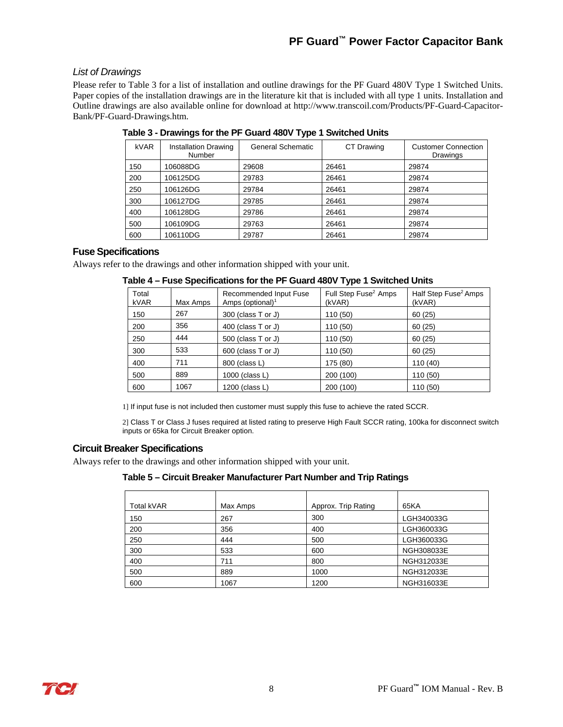#### *List of Drawings*

Please refer to Table 3 for a list of installation and outline drawings for the PF Guard 480V Type 1 Switched Units. Paper copies of the installation drawings are in the literature kit that is included with all type 1 units. Installation and Outline drawings are also available online for download at http://www.transcoil.com/Products/PF-Guard-Capacitor-Bank/PF-Guard-Drawings.htm.

| kVAR | <b>Installation Drawing</b><br>Number | General Schematic | CT Drawing | <b>Customer Connection</b><br>Drawings |
|------|---------------------------------------|-------------------|------------|----------------------------------------|
| 150  | 106088DG                              | 29608             | 26461      | 29874                                  |
| 200  | 106125DG                              | 29783             | 26461      | 29874                                  |
| 250  | 106126DG                              | 29784             | 26461      | 29874                                  |
| 300  | 106127DG                              | 29785             | 26461      | 29874                                  |
| 400  | 106128DG                              | 29786             | 26461      | 29874                                  |
| 500  | 106109DG                              | 29763             | 26461      | 29874                                  |
| 600  | 106110DG                              | 29787             | 26461      | 29874                                  |

**Table 3 - Drawings for the PF Guard 480V Type 1 Switched Units** 

#### **1.3.4 Fuse Specifications**

Always refer to the drawings and other information shipped with your unit.

| Total<br>kVAR | Max Amps | Recommended Input Fuse<br>Amps (optional) <sup>1</sup> | Full Step Fuse <sup>2</sup> Amps<br>(kVAR) | Half Step Fuse <sup>2</sup> Amps<br>(kVAR) |
|---------------|----------|--------------------------------------------------------|--------------------------------------------|--------------------------------------------|
| 150           | 267      | 300 (class T or J)                                     | 110 (50)                                   | 60 (25)                                    |
| 200           | 356      | 400 (class T or J)                                     | 110 (50)                                   | 60 (25)                                    |
| 250           | 444      | 500 (class T or J)                                     | 110 (50)                                   | 60 (25)                                    |
| 300           | 533      | 600 (class T or J)                                     | 110 (50)                                   | 60 (25)                                    |
| 400           | 711      | 800 (class L)                                          | 175 (80)                                   | 110(40)                                    |
| 500           | 889      | 1000 (class L)                                         | 200 (100)                                  | 110 (50)                                   |
| 600           | 1067     | 1200 (class L)                                         | 200 (100)                                  | 110 (50)                                   |

**Table 4 – Fuse Specifications for the PF Guard 480V Type 1 Switched Units** 

1] If input fuse is not included then customer must supply this fuse to achieve the rated SCCR.

2] Class T or Class J fuses required at listed rating to preserve High Fault SCCR rating, 100ka for disconnect switch inputs or 65ka for Circuit Breaker option.

### **1.3.5 Circuit Breaker Specifications**

Always refer to the drawings and other information shipped with your unit.

**Table 5 – Circuit Breaker Manufacturer Part Number and Trip Ratings** 

| <b>Total kVAR</b> | Max Amps | Approx. Trip Rating | 65KA       |
|-------------------|----------|---------------------|------------|
| 150               | 267      | 300                 | LGH340033G |
| 200               | 356      | 400                 | LGH360033G |
| 250               | 444      | 500                 | LGH360033G |
| 300               | 533      | 600                 | NGH308033E |
| 400               | 711      | 800                 | NGH312033E |
| 500               | 889      | 1000                | NGH312033E |
| 600               | 1067     | 1200                | NGH316033E |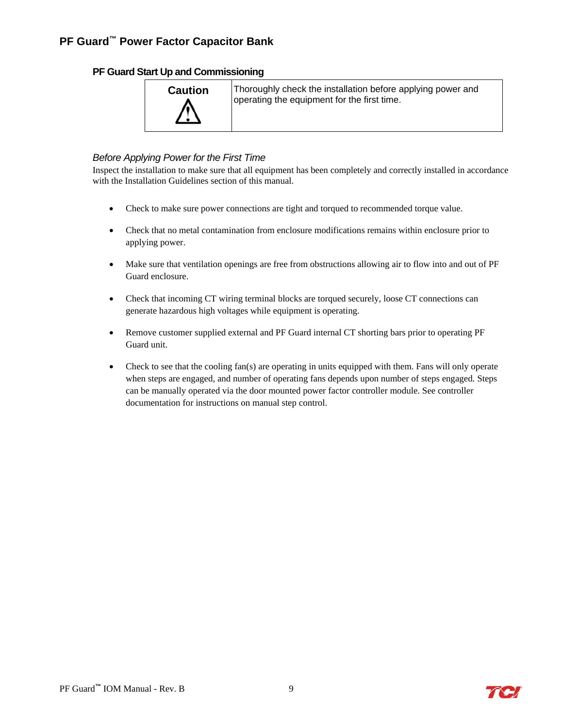#### **1.3.6 PF Guard Start Up and Commissioning**

| <b>Caution</b> | Thoroughly check the installation before applying power and<br>operating the equipment for the first time. |
|----------------|------------------------------------------------------------------------------------------------------------|
|----------------|------------------------------------------------------------------------------------------------------------|

#### *Before Applying Power for the First Time*

Inspect the installation to make sure that all equipment has been completely and correctly installed in accordance with the Installation Guidelines section of this manual.

- Check to make sure power connections are tight and torqued to recommended torque value.
- Check that no metal contamination from enclosure modifications remains within enclosure prior to applying power.
- Make sure that ventilation openings are free from obstructions allowing air to flow into and out of PF Guard enclosure.
- Check that incoming CT wiring terminal blocks are torqued securely, loose CT connections can generate hazardous high voltages while equipment is operating.
- Remove customer supplied external and PF Guard internal CT shorting bars prior to operating PF Guard unit.
- Check to see that the cooling fan(s) are operating in units equipped with them. Fans will only operate when steps are engaged, and number of operating fans depends upon number of steps engaged. Steps can be manually operated via the door mounted power factor controller module. See controller documentation for instructions on manual step control.

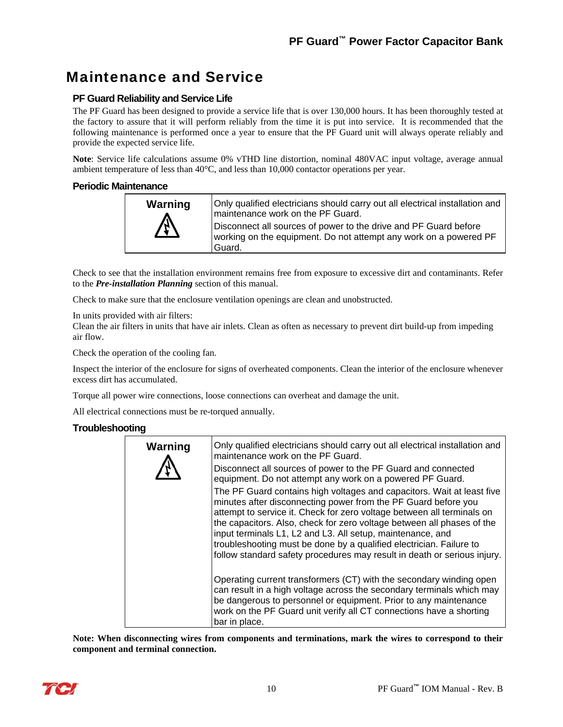# **Maintenance and Service**

#### **1.4.1 PF Guard Reliability and Service Life**

The PF Guard has been designed to provide a service life that is over 130,000 hours. It has been thoroughly tested at the factory to assure that it will perform reliably from the time it is put into service. It is recommended that the following maintenance is performed once a year to ensure that the PF Guard unit will always operate reliably and provide the expected service life.

**Note**: Service life calculations assume 0% vTHD line distortion, nominal 480VAC input voltage, average annual ambient temperature of less than 40°C, and less than 10,000 contactor operations per year.

#### **1.4.2 Periodic Maintenance**



Check to see that the installation environment remains free from exposure to excessive dirt and contaminants. Refer to the *Pre-installation Planning* section of this manual.

Check to make sure that the enclosure ventilation openings are clean and unobstructed.

In units provided with air filters:

Clean the air filters in units that have air inlets. Clean as often as necessary to prevent dirt build-up from impeding air flow.

Check the operation of the cooling fan.

Inspect the interior of the enclosure for signs of overheated components. Clean the interior of the enclosure whenever excess dirt has accumulated.

Torque all power wire connections, loose connections can overheat and damage the unit.

All electrical connections must be re-torqued annually.

#### **1.4.3 Troubleshooting**

| <b>Warning</b> | Only qualified electricians should carry out all electrical installation and<br>maintenance work on the PF Guard.                                                                                                                                                                                                                                                                                                                                                                                             |
|----------------|---------------------------------------------------------------------------------------------------------------------------------------------------------------------------------------------------------------------------------------------------------------------------------------------------------------------------------------------------------------------------------------------------------------------------------------------------------------------------------------------------------------|
|                | Disconnect all sources of power to the PF Guard and connected<br>equipment. Do not attempt any work on a powered PF Guard.                                                                                                                                                                                                                                                                                                                                                                                    |
|                | The PF Guard contains high voltages and capacitors. Wait at least five<br>minutes after disconnecting power from the PF Guard before you<br>attempt to service it. Check for zero voltage between all terminals on<br>the capacitors. Also, check for zero voltage between all phases of the<br>input terminals L1, L2 and L3. All setup, maintenance, and<br>troubleshooting must be done by a qualified electrician. Failure to<br>follow standard safety procedures may result in death or serious injury. |
|                | Operating current transformers (CT) with the secondary winding open<br>can result in a high voltage across the secondary terminals which may<br>be dangerous to personnel or equipment. Prior to any maintenance<br>work on the PF Guard unit verify all CT connections have a shorting<br>bar in place.                                                                                                                                                                                                      |

**Note: When disconnecting wires from components and terminations, mark the wires to correspond to their component and terminal connection.** 

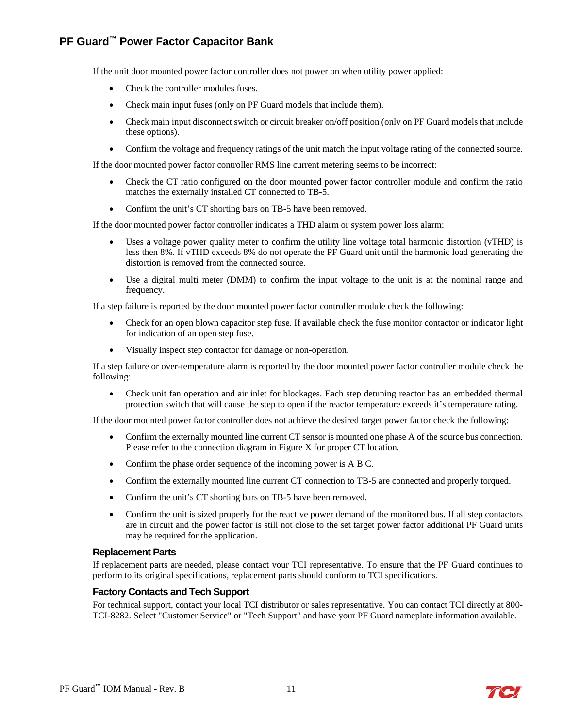If the unit door mounted power factor controller does not power on when utility power applied:

- Check the controller modules fuses.
- Check main input fuses (only on PF Guard models that include them).
- Check main input disconnect switch or circuit breaker on/off position (only on PF Guard models that include these options).
- Confirm the voltage and frequency ratings of the unit match the input voltage rating of the connected source.

If the door mounted power factor controller RMS line current metering seems to be incorrect:

- Check the CT ratio configured on the door mounted power factor controller module and confirm the ratio matches the externally installed CT connected to TB-5.
- Confirm the unit's CT shorting bars on TB-5 have been removed.

If the door mounted power factor controller indicates a THD alarm or system power loss alarm:

- Uses a voltage power quality meter to confirm the utility line voltage total harmonic distortion (vTHD) is less then 8%. If vTHD exceeds 8% do not operate the PF Guard unit until the harmonic load generating the distortion is removed from the connected source.
- Use a digital multi meter (DMM) to confirm the input voltage to the unit is at the nominal range and frequency.

If a step failure is reported by the door mounted power factor controller module check the following:

- Check for an open blown capacitor step fuse. If available check the fuse monitor contactor or indicator light for indication of an open step fuse.
- Visually inspect step contactor for damage or non-operation.

If a step failure or over-temperature alarm is reported by the door mounted power factor controller module check the following:

 Check unit fan operation and air inlet for blockages. Each step detuning reactor has an embedded thermal protection switch that will cause the step to open if the reactor temperature exceeds it's temperature rating.

If the door mounted power factor controller does not achieve the desired target power factor check the following:

- Confirm the externally mounted line current CT sensor is mounted one phase A of the source bus connection. Please refer to the connection diagram in Figure X for proper CT location.
- Confirm the phase order sequence of the incoming power is A B C.
- Confirm the externally mounted line current CT connection to TB-5 are connected and properly torqued.
- Confirm the unit's CT shorting bars on TB-5 have been removed.
- Confirm the unit is sized properly for the reactive power demand of the monitored bus. If all step contactors are in circuit and the power factor is still not close to the set target power factor additional PF Guard units may be required for the application.

#### **1.4.4 Replacement Parts**

If replacement parts are needed, please contact your TCI representative. To ensure that the PF Guard continues to perform to its original specifications, replacement parts should conform to TCI specifications.

#### **1.4.5 Factory Contacts and Tech Support**

For technical support, contact your local TCI distributor or sales representative. You can contact TCI directly at 800- TCI-8282. Select "Customer Service" or "Tech Support" and have your PF Guard nameplate information available.

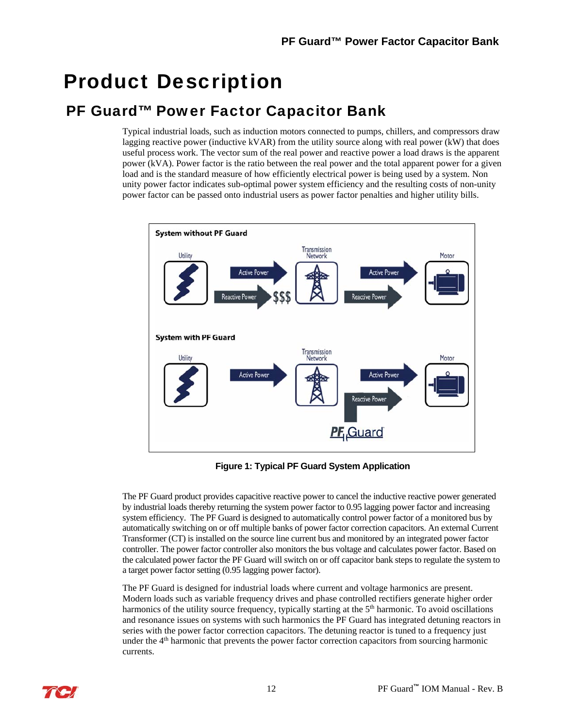# Product Description

## PF Guard™ Power Factor Capacitor Bank

Typical industrial loads, such as induction motors connected to pumps, chillers, and compressors draw lagging reactive power (inductive kVAR) from the utility source along with real power (kW) that does useful process work. The vector sum of the real power and reactive power a load draws is the apparent power (kVA). Power factor is the ratio between the real power and the total apparent power for a given load and is the standard measure of how efficiently electrical power is being used by a system. Non unity power factor indicates sub-optimal power system efficiency and the resulting costs of non-unity power factor can be passed onto industrial users as power factor penalties and higher utility bills.



**Figure 1: Typical PF Guard System Application** 

The PF Guard product provides capacitive reactive power to cancel the inductive reactive power generated by industrial loads thereby returning the system power factor to 0.95 lagging power factor and increasing system efficiency. The PF Guard is designed to automatically control power factor of a monitored bus by automatically switching on or off multiple banks of power factor correction capacitors. An external Current Transformer (CT) is installed on the source line current bus and monitored by an integrated power factor controller. The power factor controller also monitors the bus voltage and calculates power factor. Based on the calculated power factor the PF Guard will switch on or off capacitor bank steps to regulate the system to a target power factor setting (0.95 lagging power factor).

The PF Guard is designed for industrial loads where current and voltage harmonics are present. Modern loads such as variable frequency drives and phase controlled rectifiers generate higher order harmonics of the utility source frequency, typically starting at the 5<sup>th</sup> harmonic. To avoid oscillations and resonance issues on systems with such harmonics the PF Guard has integrated detuning reactors in series with the power factor correction capacitors. The detuning reactor is tuned to a frequency just under the 4<sup>th</sup> harmonic that prevents the power factor correction capacitors from sourcing harmonic currents.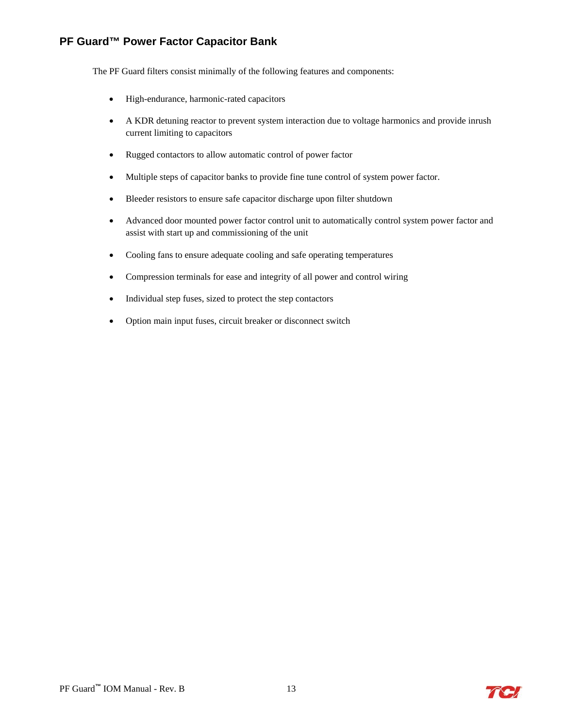The PF Guard filters consist minimally of the following features and components:

- High-endurance, harmonic-rated capacitors
- A KDR detuning reactor to prevent system interaction due to voltage harmonics and provide inrush current limiting to capacitors
- Rugged contactors to allow automatic control of power factor
- Multiple steps of capacitor banks to provide fine tune control of system power factor.
- Bleeder resistors to ensure safe capacitor discharge upon filter shutdown
- Advanced door mounted power factor control unit to automatically control system power factor and assist with start up and commissioning of the unit
- Cooling fans to ensure adequate cooling and safe operating temperatures
- Compression terminals for ease and integrity of all power and control wiring
- Individual step fuses, sized to protect the step contactors
- Option main input fuses, circuit breaker or disconnect switch

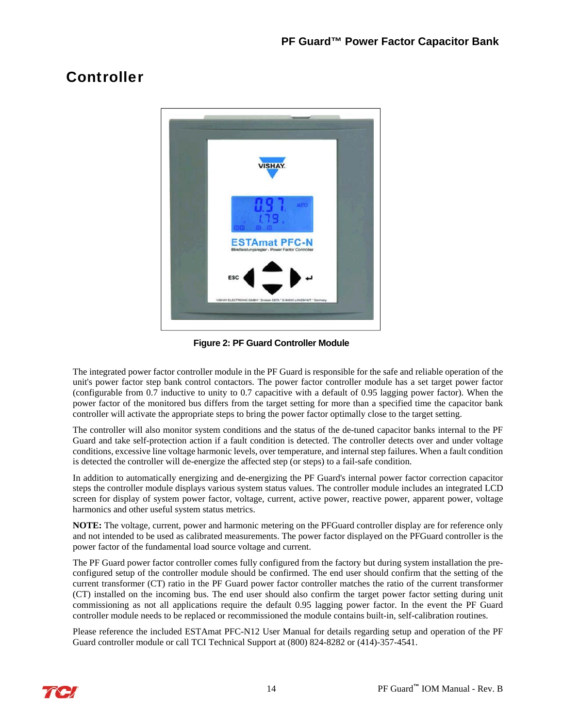## **Controller**



**Figure 2: PF Guard Controller Module** 

The integrated power factor controller module in the PF Guard is responsible for the safe and reliable operation of the unit's power factor step bank control contactors. The power factor controller module has a set target power factor (configurable from 0.7 inductive to unity to 0.7 capacitive with a default of 0.95 lagging power factor). When the power factor of the monitored bus differs from the target setting for more than a specified time the capacitor bank controller will activate the appropriate steps to bring the power factor optimally close to the target setting.

The controller will also monitor system conditions and the status of the de-tuned capacitor banks internal to the PF Guard and take self-protection action if a fault condition is detected. The controller detects over and under voltage conditions, excessive line voltage harmonic levels, over temperature, and internal step failures. When a fault condition is detected the controller will de-energize the affected step (or steps) to a fail-safe condition.

In addition to automatically energizing and de-energizing the PF Guard's internal power factor correction capacitor steps the controller module displays various system status values. The controller module includes an integrated LCD screen for display of system power factor, voltage, current, active power, reactive power, apparent power, voltage harmonics and other useful system status metrics.

**NOTE:** The voltage, current, power and harmonic metering on the PFGuard controller display are for reference only and not intended to be used as calibrated measurements. The power factor displayed on the PFGuard controller is the power factor of the fundamental load source voltage and current.

The PF Guard power factor controller comes fully configured from the factory but during system installation the preconfigured setup of the controller module should be confirmed. The end user should confirm that the setting of the current transformer (CT) ratio in the PF Guard power factor controller matches the ratio of the current transformer (CT) installed on the incoming bus. The end user should also confirm the target power factor setting during unit commissioning as not all applications require the default 0.95 lagging power factor. In the event the PF Guard controller module needs to be replaced or recommissioned the module contains built-in, self-calibration routines.

Please reference the included ESTAmat PFC-N12 User Manual for details regarding setup and operation of the PF Guard controller module or call TCI Technical Support at (800) 824-8282 or (414)-357-4541.

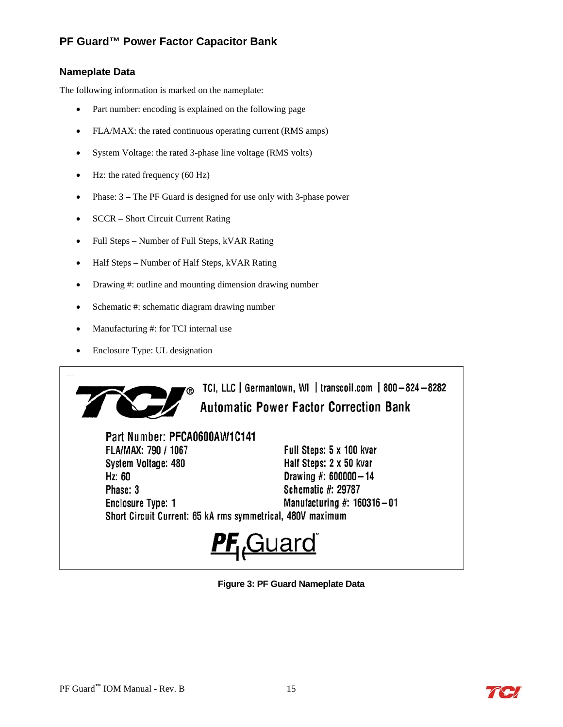#### **Nameplate Data**

The following information is marked on the nameplate:

- Part number: encoding is explained on the following page
- FLA/MAX: the rated continuous operating current (RMS amps)
- System Voltage: the rated 3-phase line voltage (RMS volts)
- Hz: the rated frequency (60 Hz)
- Phase: 3 The PF Guard is designed for use only with 3-phase power
- SCCR Short Circuit Current Rating
- Full Steps Number of Full Steps, kVAR Rating
- Half Steps Number of Half Steps, kVAR Rating
- Drawing #: outline and mounting dimension drawing number
- Schematic #: schematic diagram drawing number
- Manufacturing #: for TCI internal use
- Enclosure Type: UL designation

TCI, LLC | Germantown, WI | transcoil.com | 800-824-8282 **Automatic Power Factor Correction Bank** Part Number: PFCA0600AW1C141 FLA/MAX: 790 / 1067 Full Steps: 5 x 100 kvar Half Steps: 2 x 50 kvar System Voltage: 480  $Hz: 60$ Drawing  $#: 600000 - 14$ Phase: 3 Schematic #: 29787 **Enclosure Type: 1** Manufacturing  $\#$ : 160316 - 01 Short Circuit Current: 65 kA rms symmetrical, 480V maximum PF Guard

**Figure 3: PF Guard Nameplate Data** 

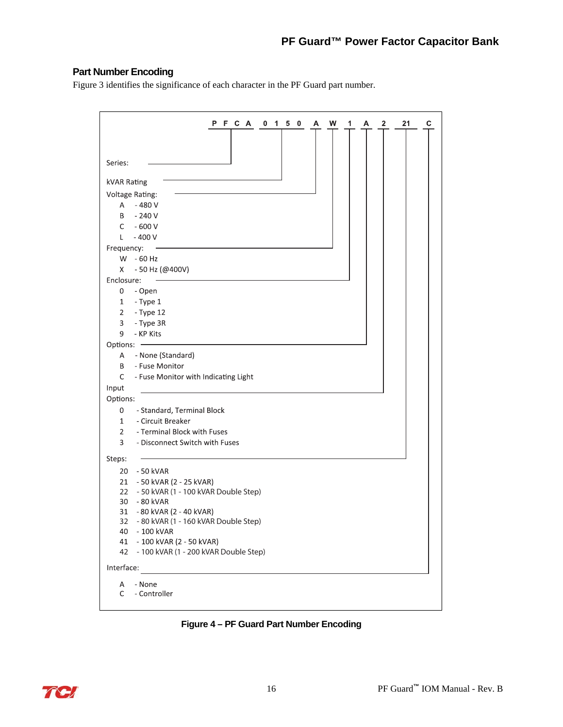### **2.2.1 Part Number Encoding**

Figure 3 identifies the significance of each character in the PF Guard part number.

| $\bf{0}$<br>21<br>P F<br>C A<br>0 <sub>1</sub><br>5<br>Α<br>W<br>$\mathbf{2}$<br>1<br>A | С |
|-----------------------------------------------------------------------------------------|---|
|                                                                                         |   |
| Series:                                                                                 |   |
| kVAR Rating                                                                             |   |
| Voltage Rating:                                                                         |   |
| $-480V$<br>A                                                                            |   |
| B<br>$-240V$                                                                            |   |
| C<br>$-600V$                                                                            |   |
| $-400V$<br>L.                                                                           |   |
| Frequency:                                                                              |   |
| W<br>- 60 Hz                                                                            |   |
| - 50 Hz (@400V)<br>X.                                                                   |   |
| Enclosure:                                                                              |   |
| 0<br>- Open                                                                             |   |
| - Type 1<br>$\mathbf{1}$                                                                |   |
| $\overline{2}$<br>- Type 12                                                             |   |
| 3<br>- Type 3R                                                                          |   |
| 9<br>- KP Kits                                                                          |   |
| Options: -                                                                              |   |
| - None (Standard)<br>Α                                                                  |   |
| - Fuse Monitor<br>B                                                                     |   |
| C<br>- Fuse Monitor with Indicating Light                                               |   |
| Input                                                                                   |   |
| Options:                                                                                |   |
| - Standard, Terminal Block<br>0                                                         |   |
| - Circuit Breaker<br>$\mathbf{1}$                                                       |   |
| - Terminal Block with Fuses<br>$\overline{2}$                                           |   |
| 3<br>- Disconnect Switch with Fuses                                                     |   |
|                                                                                         |   |
| Steps:                                                                                  |   |
| - 50 kVAR<br>20                                                                         |   |
| 21<br>- 50 kVAR (2 - 25 kVAR)                                                           |   |
| 22<br>- 50 kVAR (1 - 100 kVAR Double Step)                                              |   |
| 30<br>- 80 kVAR                                                                         |   |
| 31<br>- 80 kVAR (2 - 40 kVAR)                                                           |   |
| 32 - 80 kVAR (1 - 160 kVAR Double Step)                                                 |   |
| 40<br>- 100 kVAR                                                                        |   |
| 41<br>- 100 kVAR (2 - 50 kVAR)                                                          |   |
| - 100 kVAR (1 - 200 kVAR Double Step)<br>42                                             |   |
| Interface:                                                                              |   |
| - None<br>Α                                                                             |   |
| C<br>- Controller                                                                       |   |
|                                                                                         |   |

**Figure 4 – PF Guard Part Number Encoding**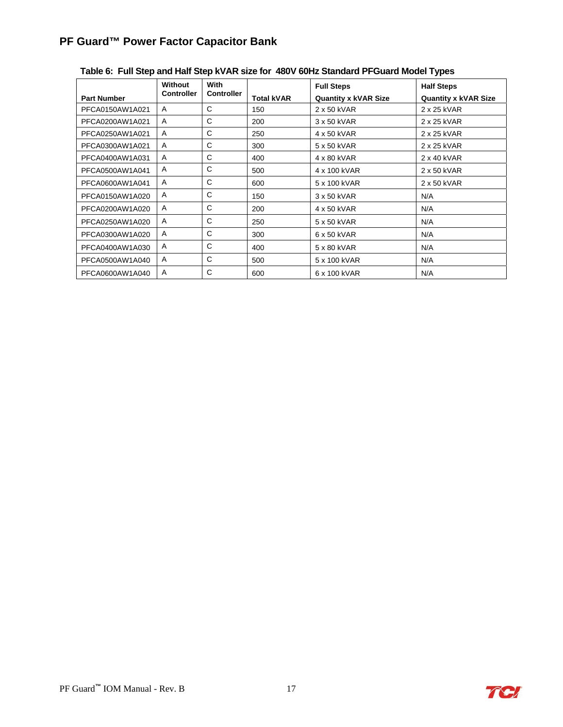|                    | Without<br><b>Controller</b> | <b>With</b><br><b>Controller</b> |                   | <b>Full Steps</b>           | <b>Half Steps</b>           |
|--------------------|------------------------------|----------------------------------|-------------------|-----------------------------|-----------------------------|
| <b>Part Number</b> |                              |                                  | <b>Total kVAR</b> | <b>Quantity x kVAR Size</b> | <b>Quantity x kVAR Size</b> |
| PFCA0150AW1A021    | A                            | C                                | 150               | 2 x 50 kVAR                 | 2 x 25 kVAR                 |
| PFCA0200AW1A021    | A                            | С                                | 200               | 3 x 50 kVAR                 | 2 x 25 kVAR                 |
| PFCA0250AW1A021    | A                            | C                                | 250               | 4 x 50 kVAR                 | 2 x 25 kVAR                 |
| PFCA0300AW1A021    | A                            | C                                | 300               | 5 x 50 kVAR                 | 2 x 25 kVAR                 |
| PFCA0400AW1A031    | A                            | C                                | 400               | 4 x 80 kVAR                 | 2 x 40 kVAR                 |
| PFCA0500AW1A041    | A                            | C                                | 500               | 4 x 100 kVAR                | 2 x 50 kVAR                 |
| PFCA0600AW1A041    | A                            | C                                | 600               | 5 x 100 kVAR                | 2 x 50 kVAR                 |
| PFCA0150AW1A020    | A                            | C                                | 150               | 3 x 50 kVAR                 | N/A                         |
| PFCA0200AW1A020    | A                            | C                                | 200               | 4 x 50 kVAR                 | N/A                         |
| PFCA0250AW1A020    | A                            | C                                | 250               | 5 x 50 kVAR                 | N/A                         |
| PFCA0300AW1A020    | A                            | C                                | 300               | 6 x 50 kVAR                 | N/A                         |
| PFCA0400AW1A030    | A                            | C                                | 400               | 5 x 80 kVAR                 | N/A                         |
| PFCA0500AW1A040    | A                            | С                                | 500               | 5 x 100 kVAR                | N/A                         |
| PFCA0600AW1A040    | A                            | C                                | 600               | 6 x 100 kVAR                | N/A                         |

#### **Table 6: Full Step and Half Step kVAR size for 480V 60Hz Standard PFGuard Model Types**

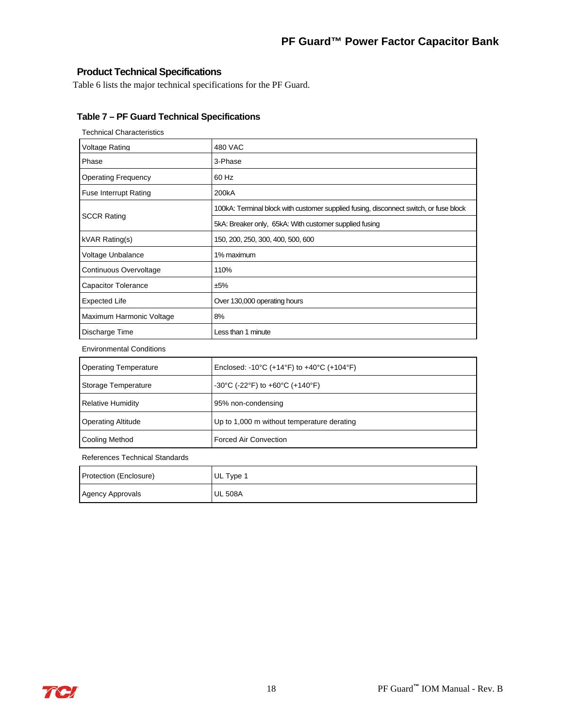### **2.2.2 Product Technical Specifications**

Table 6 lists the major technical specifications for the PF Guard.

### **Table 7 – PF Guard Technical Specifications**

Technical Characteristics

| Voltage Rating                        | <b>480 VAC</b>                                                                        |  |  |
|---------------------------------------|---------------------------------------------------------------------------------------|--|--|
| Phase                                 | 3-Phase                                                                               |  |  |
| <b>Operating Frequency</b>            | 60 Hz                                                                                 |  |  |
| <b>Fuse Interrupt Rating</b>          | 200 <sub>k</sub> A                                                                    |  |  |
|                                       | 100kA: Terminal block with customer supplied fusing, disconnect switch, or fuse block |  |  |
| <b>SCCR Rating</b>                    | 5kA: Breaker only, 65kA: With customer supplied fusing                                |  |  |
| kVAR Rating(s)                        | 150, 200, 250, 300, 400, 500, 600                                                     |  |  |
| Voltage Unbalance                     | 1% maximum                                                                            |  |  |
| Continuous Overvoltage                | 110%                                                                                  |  |  |
| Capacitor Tolerance                   | ±5%                                                                                   |  |  |
| <b>Expected Life</b>                  | Over 130,000 operating hours                                                          |  |  |
| Maximum Harmonic Voltage              | 8%                                                                                    |  |  |
| Discharge Time                        | Less than 1 minute                                                                    |  |  |
| <b>Environmental Conditions</b>       |                                                                                       |  |  |
| <b>Operating Temperature</b>          | Enclosed: -10°C (+14°F) to +40°C (+104°F)                                             |  |  |
| Storage Temperature                   | -30°C (-22°F) to +60°C (+140°F)                                                       |  |  |
| <b>Relative Humidity</b>              | 95% non-condensing                                                                    |  |  |
| <b>Operating Altitude</b>             | Up to 1,000 m without temperature derating                                            |  |  |
| <b>Cooling Method</b>                 | <b>Forced Air Convection</b>                                                          |  |  |
| <b>References Technical Standards</b> |                                                                                       |  |  |
|                                       |                                                                                       |  |  |

| Protection (Enclosure)  | UL Type 1      |
|-------------------------|----------------|
| <b>Agency Approvals</b> | <b>UL 508A</b> |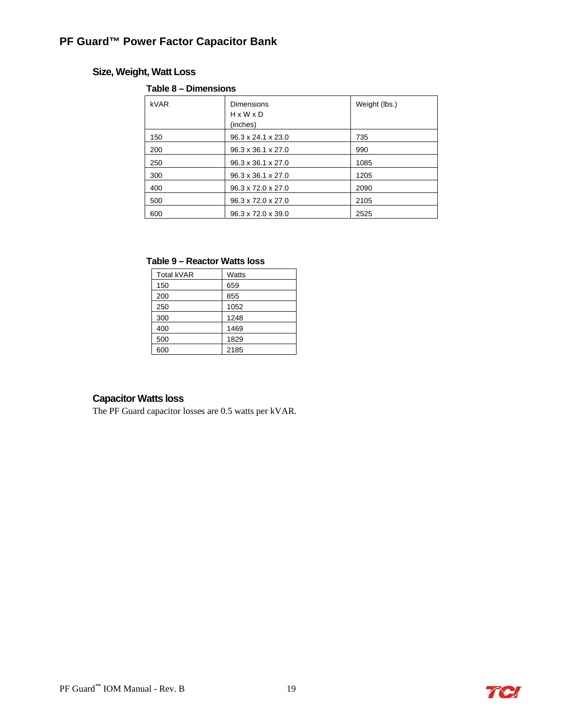### **2.2.3 Size, Weight, Watt Loss**

#### **Table 8 – Dimensions**

| kVAR | <b>Dimensions</b><br>$H \times W \times D$<br>(inches) | Weight (lbs.) |
|------|--------------------------------------------------------|---------------|
| 150  | $96.3 \times 24.1 \times 23.0$                         | 735           |
| 200  | $96.3 \times 36.1 \times 27.0$                         | 990           |
| 250  | $96.3 \times 36.1 \times 27.0$                         | 1085          |
| 300  | $96.3 \times 36.1 \times 27.0$                         | 1205          |
| 400  | $96.3 \times 72.0 \times 27.0$                         | 2090          |
| 500  | $96.3 \times 72.0 \times 27.0$                         | 2105          |
| 600  | 96.3 x 72.0 x 39.0                                     | 2525          |

#### **Table 9 – Reactor Watts loss**

| <b>Total kVAR</b> | Watts |
|-------------------|-------|
| 150               | 659   |
| 200               | 855   |
| 250               | 1052  |
| 300               | 1248  |
| 400               | 1469  |
| 500               | 1829  |
| 600               | 2185  |

### **2.2.4 Capacitor Watts loss**

The PF Guard capacitor losses are 0.5 watts per kVAR.

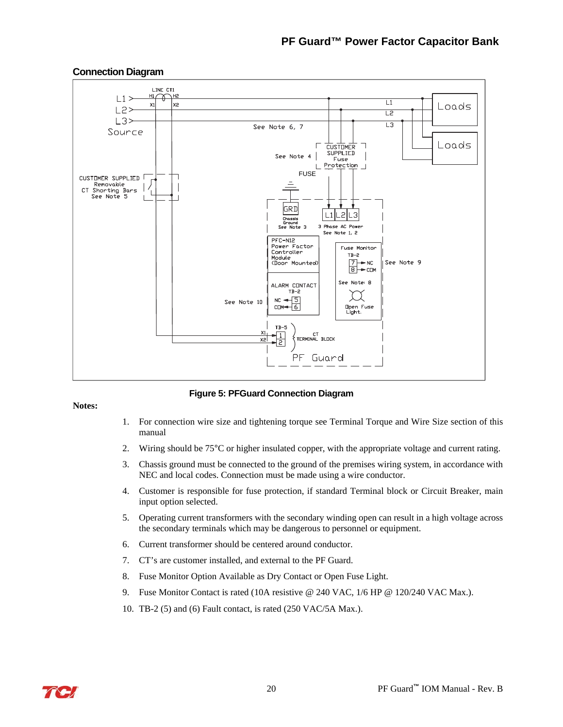

#### **2.2.5 Connection Diagram**

**Figure 5: PFGuard Connection Diagram** 

#### **Notes:**

- 1. For connection wire size and tightening torque see Terminal Torque and Wire Size section of this manual
- 2. Wiring should be 75°C or higher insulated copper, with the appropriate voltage and current rating.
- 3. Chassis ground must be connected to the ground of the premises wiring system, in accordance with NEC and local codes. Connection must be made using a wire conductor.
- 4. Customer is responsible for fuse protection, if standard Terminal block or Circuit Breaker, main input option selected.
- 5. Operating current transformers with the secondary winding open can result in a high voltage across the secondary terminals which may be dangerous to personnel or equipment.
- 6. Current transformer should be centered around conductor.
- 7. CT's are customer installed, and external to the PF Guard.
- 8. Fuse Monitor Option Available as Dry Contact or Open Fuse Light.
- 9. Fuse Monitor Contact is rated (10A resistive @ 240 VAC, 1/6 HP @ 120/240 VAC Max.).
- 10. TB-2 (5) and (6) Fault contact, is rated (250 VAC/5A Max.).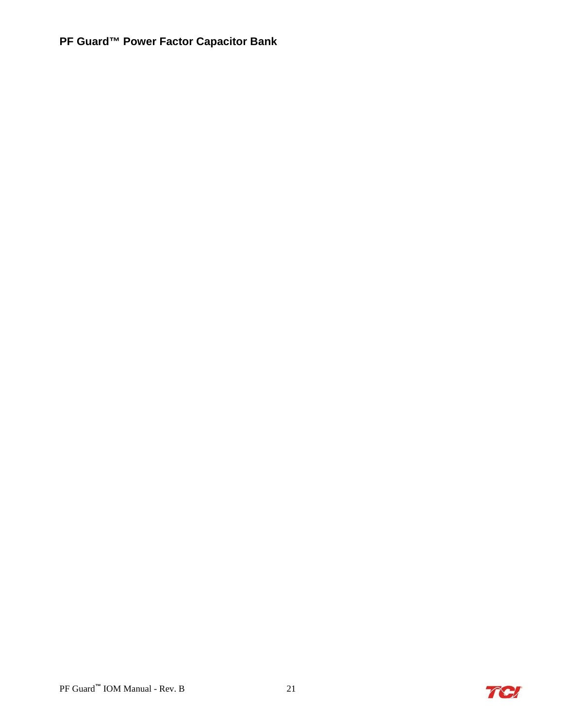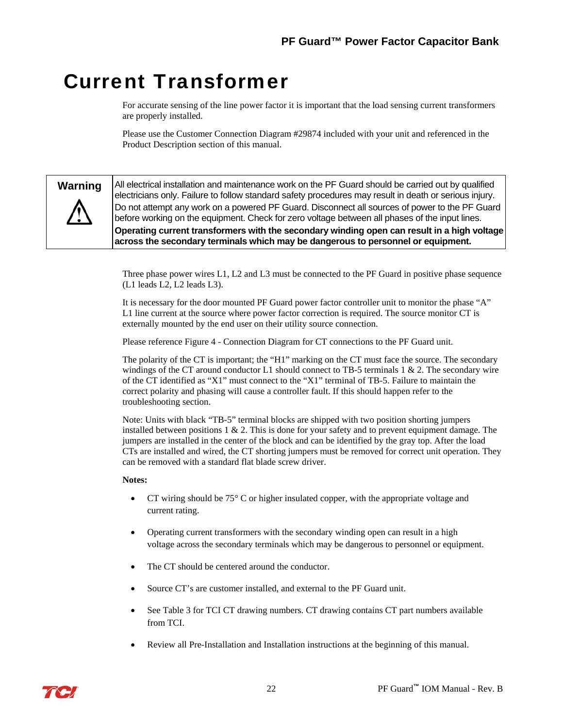# Current Transformer

For accurate sensing of the line power factor it is important that the load sensing current transformers are properly installed.

Please use the Customer Connection Diagram #29874 included with your unit and referenced in the Product Description section of this manual.

#### **Warning** | All electrical installation and maintenance work on the PF Guard should be carried out by qualified electricians only. Failure to follow standard safety procedures may result in death or serious injury. Do not attempt any work on a powered PF Guard. Disconnect all sources of power to the PF Guard before working on the equipment. Check for zero voltage between all phases of the input lines. **Operating current transformers with the secondary winding open can result in a high voltage across the secondary terminals which may be dangerous to personnel or equipment.**

Three phase power wires L1, L2 and L3 must be connected to the PF Guard in positive phase sequence (L1 leads L2, L2 leads L3).

It is necessary for the door mounted PF Guard power factor controller unit to monitor the phase "A" L1 line current at the source where power factor correction is required. The source monitor CT is externally mounted by the end user on their utility source connection.

Please reference Figure 4 - Connection Diagram for CT connections to the PF Guard unit.

The polarity of the CT is important; the "H1" marking on the CT must face the source. The secondary windings of the CT around conductor L1 should connect to TB-5 terminals  $1 \& 2$ . The secondary wire of the CT identified as "X1" must connect to the "X1" terminal of TB-5. Failure to maintain the correct polarity and phasing will cause a controller fault. If this should happen refer to the troubleshooting section.

Note: Units with black "TB-5" terminal blocks are shipped with two position shorting jumpers installed between positions  $1 \& 2$ . This is done for your safety and to prevent equipment damage. The jumpers are installed in the center of the block and can be identified by the gray top. After the load CTs are installed and wired, the CT shorting jumpers must be removed for correct unit operation. They can be removed with a standard flat blade screw driver.

#### **Notes:**

- CT wiring should be 75° C or higher insulated copper, with the appropriate voltage and current rating.
- Operating current transformers with the secondary winding open can result in a high voltage across the secondary terminals which may be dangerous to personnel or equipment.
- The CT should be centered around the conductor.
- Source CT's are customer installed, and external to the PF Guard unit.
- See Table 3 for TCI CT drawing numbers. CT drawing contains CT part numbers available from TCI.
- Review all Pre-Installation and Installation instructions at the beginning of this manual.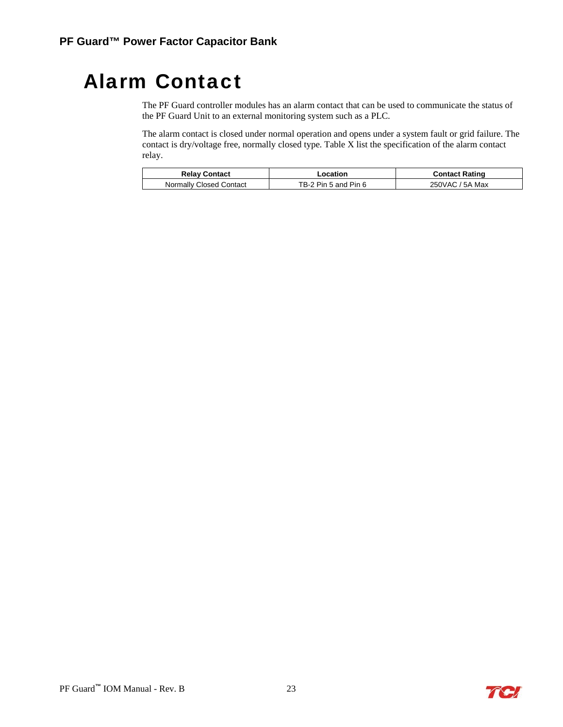# Alarm Contact

The PF Guard controller modules has an alarm contact that can be used to communicate the status of the PF Guard Unit to an external monitoring system such as a PLC.

The alarm contact is closed under normal operation and opens under a system fault or grid failure. The contact is dry/voltage free, normally closed type. Table X list the specification of the alarm contact relay.

| <b>Relay Contact</b>    | ∟ocation             | Contact Rating  |
|-------------------------|----------------------|-----------------|
| Normally Closed Contact | TB-2 Pin 5 and Pin 6 | 250VAC / 5A Max |

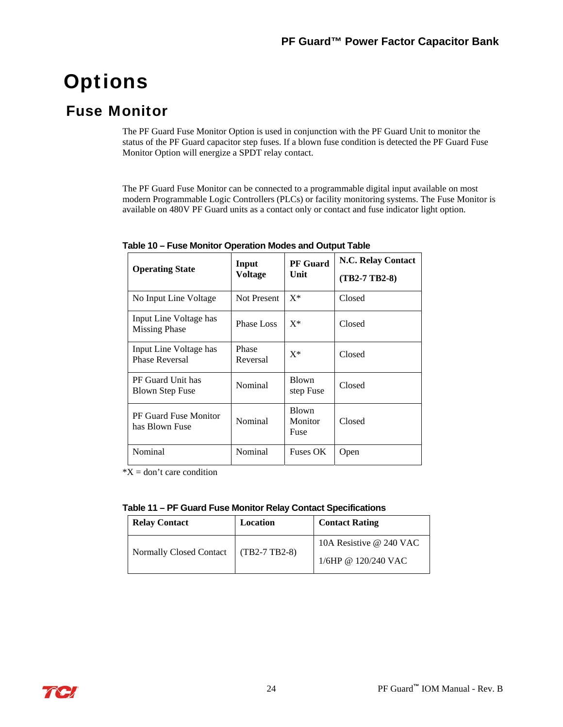# **Options**

## **Fuse Monitor**

The PF Guard Fuse Monitor Option is used in conjunction with the PF Guard Unit to monitor the status of the PF Guard capacitor step fuses. If a blown fuse condition is detected the PF Guard Fuse Monitor Option will energize a SPDT relay contact.

The PF Guard Fuse Monitor can be connected to a programmable digital input available on most modern Programmable Logic Controllers (PLCs) or facility monitoring systems. The Fuse Monitor is available on 480V PF Guard units as a contact only or contact and fuse indicator light option.

| <b>Operating State</b>                          | Input<br>Voltage  | PF Guard<br>Unit                | N.C. Relay Contact<br>$(TB2-7 TB2-8)$ |
|-------------------------------------------------|-------------------|---------------------------------|---------------------------------------|
| No Input Line Voltage                           | Not Present       | $X^*$                           | Closed                                |
| Input Line Voltage has<br><b>Missing Phase</b>  | Phase Loss        | $X^*$                           | Closed                                |
| Input Line Voltage has<br><b>Phase Reversal</b> | Phase<br>Reversal | $X^*$                           | Closed                                |
| PF Guard Unit has<br><b>Blown Step Fuse</b>     | Nominal           | <b>Blown</b><br>step Fuse       | Closed                                |
| PF Guard Fuse Monitor<br>has Blown Fuse         | Nominal           | <b>Blown</b><br>Monitor<br>Fuse | Closed                                |
| Nominal                                         | Nominal           | Fuses OK                        | Open                                  |

**Table 10 – Fuse Monitor Operation Modes and Output Table** 

 $*X =$ don't care condition

| <b>Relay Contact</b>           | <b>Contact Rating</b><br>Location |                          |
|--------------------------------|-----------------------------------|--------------------------|
| <b>Normally Closed Contact</b> | $(TB2-7 TB2-8)$                   | 10A Resistive @ 240 VAC  |
|                                |                                   | $1/6$ HP @ $120/240$ VAC |